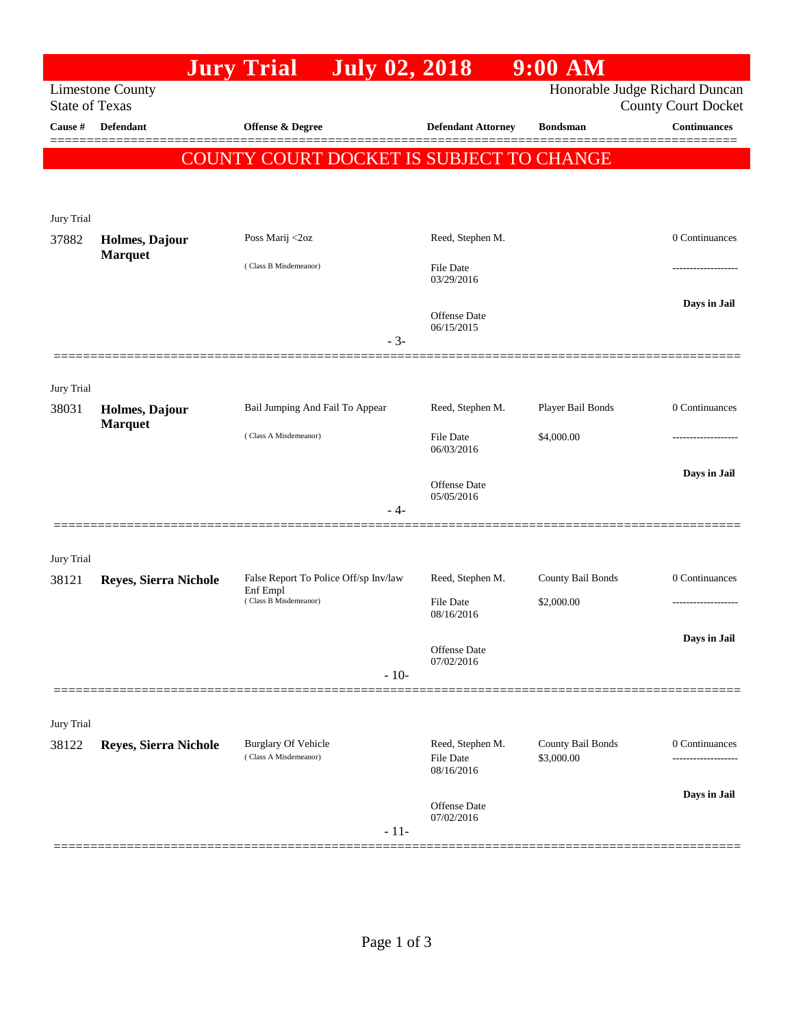|                                                                                                                  |                                  | <b>Jury Trial</b>                                                          | <b>July 02, 2018</b> |                                   | $9:00$ AM                       |                     |
|------------------------------------------------------------------------------------------------------------------|----------------------------------|----------------------------------------------------------------------------|----------------------|-----------------------------------|---------------------------------|---------------------|
| Honorable Judge Richard Duncan<br><b>Limestone County</b><br><b>State of Texas</b><br><b>County Court Docket</b> |                                  |                                                                            |                      |                                   |                                 |                     |
| Cause #                                                                                                          | <b>Defendant</b>                 | <b>Offense &amp; Degree</b>                                                |                      | <b>Defendant Attorney</b>         | <b>Bondsman</b>                 | <b>Continuances</b> |
|                                                                                                                  |                                  | COUNTY COURT DOCKET IS SUBJECT TO CHANGE                                   |                      |                                   |                                 |                     |
|                                                                                                                  |                                  |                                                                            |                      |                                   |                                 |                     |
| Jury Trial                                                                                                       |                                  |                                                                            |                      |                                   |                                 |                     |
| 37882                                                                                                            | Holmes, Dajour<br><b>Marquet</b> | Poss Marij <2oz                                                            |                      | Reed, Stephen M.                  |                                 | 0 Continuances      |
|                                                                                                                  |                                  | (Class B Misdemeanor)                                                      |                      | <b>File Date</b><br>03/29/2016    |                                 | -----------------   |
|                                                                                                                  |                                  |                                                                            |                      | <b>Offense Date</b><br>06/15/2015 |                                 | Days in Jail        |
|                                                                                                                  |                                  |                                                                            | $-3-$                |                                   |                                 |                     |
| Jury Trial                                                                                                       |                                  |                                                                            |                      |                                   |                                 |                     |
| 38031                                                                                                            | Holmes, Dajour<br><b>Marquet</b> | Bail Jumping And Fail To Appear                                            |                      | Reed, Stephen M.                  | Player Bail Bonds               | 0 Continuances      |
|                                                                                                                  |                                  | (Class A Misdemeanor)                                                      |                      | File Date<br>06/03/2016           | \$4,000.00                      |                     |
|                                                                                                                  |                                  |                                                                            |                      | <b>Offense Date</b>               |                                 | Days in Jail        |
|                                                                                                                  |                                  |                                                                            | - 4-                 | 05/05/2016                        |                                 |                     |
|                                                                                                                  |                                  |                                                                            |                      |                                   |                                 |                     |
| Jury Trial<br>38121                                                                                              | Reyes, Sierra Nichole            | False Report To Police Off/sp Inv/law<br>Enf Empl<br>(Class B Misdemeanor) | Reed, Stephen M.     | County Bail Bonds                 | 0 Continuances                  |                     |
|                                                                                                                  |                                  |                                                                            | File Date            | \$2,000.00                        | ------------------              |                     |
|                                                                                                                  |                                  |                                                                            |                      | 08/16/2016                        |                                 | Days in Jail        |
|                                                                                                                  |                                  |                                                                            |                      | Offense Date<br>07/02/2016        |                                 |                     |
|                                                                                                                  |                                  |                                                                            | $-10-$               |                                   |                                 |                     |
| Jury Trial                                                                                                       |                                  |                                                                            |                      |                                   |                                 |                     |
| 38122                                                                                                            | Reyes, Sierra Nichole            | <b>Burglary Of Vehicle</b><br>(Class A Misdemeanor)                        |                      | Reed, Stephen M.<br>File Date     | County Bail Bonds<br>\$3,000.00 | 0 Continuances      |
|                                                                                                                  |                                  |                                                                            |                      | 08/16/2016                        |                                 |                     |
|                                                                                                                  |                                  |                                                                            | $-11-$               | Offense Date<br>07/02/2016        |                                 | Days in Jail        |
|                                                                                                                  |                                  |                                                                            |                      |                                   |                                 |                     |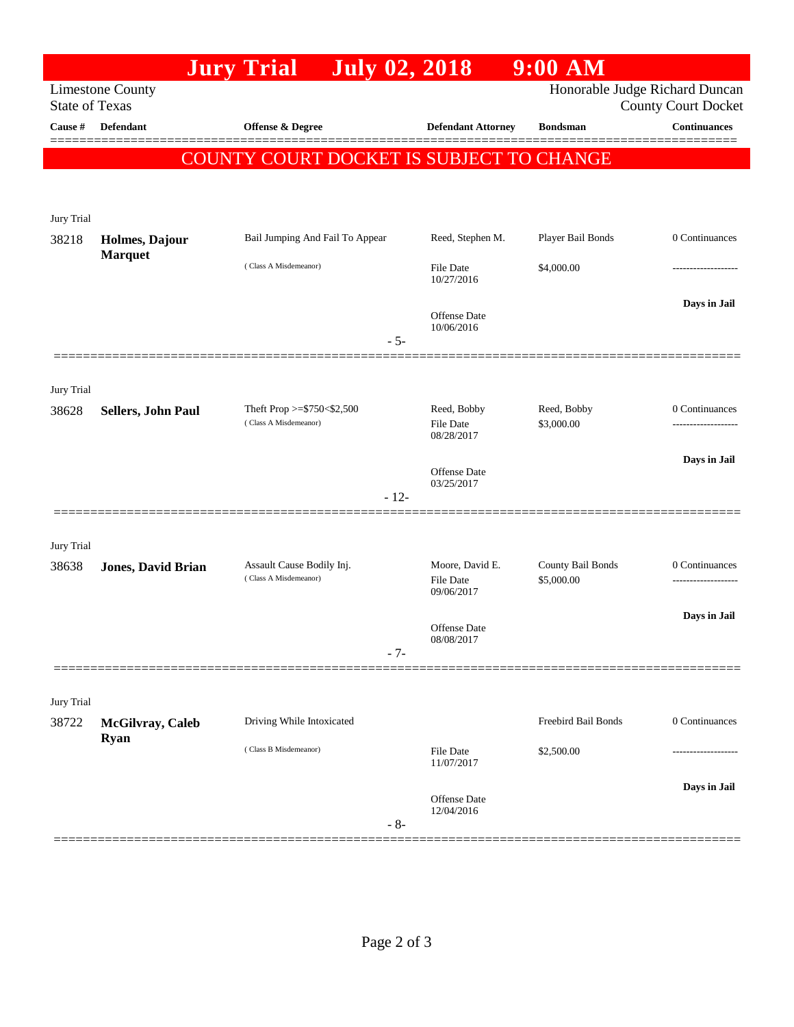|                                                                                                                  |                                        | <b>July 02, 2018</b><br><b>Jury Trial</b>            |        |                                   | $9:00$ AM           |                       |
|------------------------------------------------------------------------------------------------------------------|----------------------------------------|------------------------------------------------------|--------|-----------------------------------|---------------------|-----------------------|
| Honorable Judge Richard Duncan<br><b>Limestone County</b><br><b>State of Texas</b><br><b>County Court Docket</b> |                                        |                                                      |        |                                   |                     |                       |
| Cause #                                                                                                          | <b>Defendant</b>                       | <b>Offense &amp; Degree</b>                          |        | <b>Defendant Attorney</b>         | <b>Bondsman</b>     | <b>Continuances</b>   |
|                                                                                                                  |                                        | COUNTY COURT DOCKET IS SUBJECT TO CHANGE             |        |                                   |                     |                       |
|                                                                                                                  |                                        |                                                      |        |                                   |                     |                       |
|                                                                                                                  |                                        |                                                      |        |                                   |                     |                       |
| Jury Trial<br>38218                                                                                              | Holmes, Dajour                         | Bail Jumping And Fail To Appear                      |        | Reed, Stephen M.                  | Player Bail Bonds   | 0 Continuances        |
|                                                                                                                  | <b>Marquet</b>                         | (Class A Misdemeanor)                                |        | <b>File Date</b><br>10/27/2016    | \$4,000.00          |                       |
|                                                                                                                  |                                        |                                                      |        | <b>Offense Date</b><br>10/06/2016 |                     | Days in Jail          |
|                                                                                                                  |                                        |                                                      | $-5-$  |                                   |                     |                       |
| Jury Trial                                                                                                       |                                        |                                                      |        |                                   |                     |                       |
| 38628                                                                                                            | Sellers, John Paul                     | Theft Prop >= $$750<$2,500$<br>(Class A Misdemeanor) |        | Reed, Bobby                       | Reed, Bobby         | $0$ Continuances $\,$ |
|                                                                                                                  |                                        |                                                      |        | <b>File Date</b><br>08/28/2017    | \$3,000.00          | ------------------    |
|                                                                                                                  |                                        |                                                      |        | Offense Date                      |                     | Days in Jail          |
|                                                                                                                  |                                        |                                                      | $-12-$ | 03/25/2017                        |                     |                       |
|                                                                                                                  |                                        |                                                      |        |                                   |                     |                       |
| Jury Trial<br>38638                                                                                              | <b>Jones, David Brian</b>              | Assault Cause Bodily Inj.                            |        | Moore, David E.                   | County Bail Bonds   | 0 Continuances        |
|                                                                                                                  |                                        | (Class A Misdemeanor)                                |        | <b>File Date</b><br>09/06/2017    | \$5,000.00          |                       |
|                                                                                                                  |                                        |                                                      |        |                                   |                     | Days in Jail          |
|                                                                                                                  |                                        |                                                      | $-7-$  | Offense Date<br>08/08/2017        |                     |                       |
|                                                                                                                  |                                        |                                                      |        |                                   |                     |                       |
| Jury Trial                                                                                                       |                                        |                                                      |        |                                   |                     |                       |
| 38722                                                                                                            | <b>McGilvray, Caleb</b><br><b>Ryan</b> | Driving While Intoxicated<br>(Class B Misdemeanor)   |        |                                   | Freebird Bail Bonds | 0 Continuances        |
|                                                                                                                  |                                        |                                                      |        | <b>File Date</b><br>11/07/2017    | \$2,500.00          |                       |
|                                                                                                                  |                                        |                                                      |        | Offense Date                      |                     | Days in Jail          |
|                                                                                                                  |                                        |                                                      | $-8-$  | 12/04/2016                        |                     |                       |